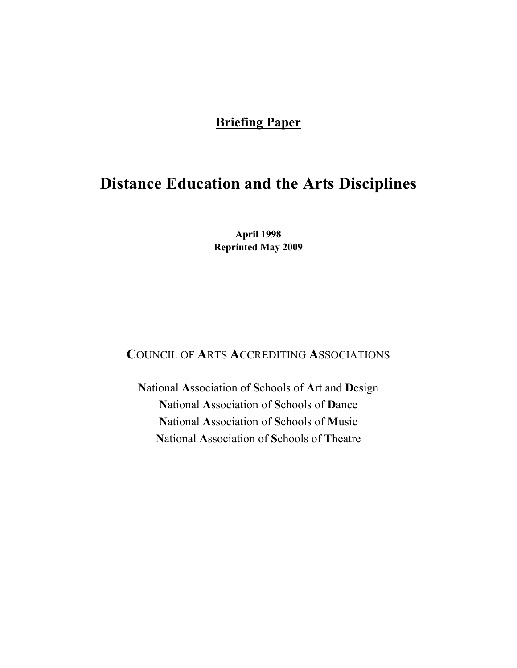# **Briefing Paper**

# **Distance Education and the Arts Disciplines**

**April 1998 Reprinted May 2009**

## **C**OUNCIL OF **A**RTS **A**CCREDITING **A**SSOCIATIONS

**N**ational **A**ssociation of **S**chools of **A**rt and **D**esign **N**ational **A**ssociation of **S**chools of **D**ance **N**ational **A**ssociation of **S**chools of **M**usic **N**ational **A**ssociation of **S**chools of **T**heatre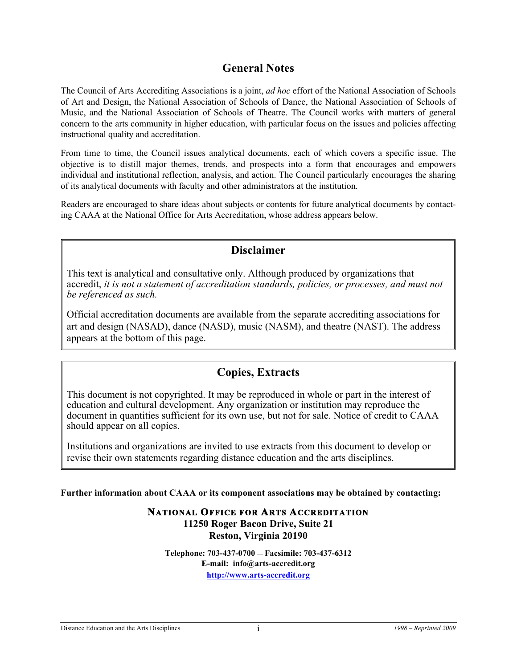## **General Notes**

The Council of Arts Accrediting Associations is a joint, *ad hoc* effort of the National Association of Schools of Art and Design, the National Association of Schools of Dance, the National Association of Schools of Music, and the National Association of Schools of Theatre. The Council works with matters of general concern to the arts community in higher education, with particular focus on the issues and policies affecting instructional quality and accreditation.

From time to time, the Council issues analytical documents, each of which covers a specific issue. The objective is to distill major themes, trends, and prospects into a form that encourages and empowers individual and institutional reflection, analysis, and action. The Council particularly encourages the sharing of its analytical documents with faculty and other administrators at the institution.

Readers are encouraged to share ideas about subjects or contents for future analytical documents by contacting CAAA at the National Office for Arts Accreditation, whose address appears below.

### **Disclaimer**

This text is analytical and consultative only. Although produced by organizations that accredit, *it is not a statement of accreditation standards, policies, or processes, and must not be referenced as such.* 

Official accreditation documents are available from the separate accrediting associations for art and design (NASAD), dance (NASD), music (NASM), and theatre (NAST). The address appears at the bottom of this page.

## **Copies, Extracts**

This document is not copyrighted. It may be reproduced in whole or part in the interest of education and cultural development. Any organization or institution may reproduce the document in quantities sufficient for its own use, but not for sale. Notice of credit to CAAA should appear on all copies.

Institutions and organizations are invited to use extracts from this document to develop or revise their own statements regarding distance education and the arts disciplines.

**Further information about CAAA or its component associations may be obtained by contacting:**

#### **NATIONAL OFFICE FOR ARTS ACCREDITATION 11250 Roger Bacon Drive, Suite 21 Reston, Virginia 20190**

**Telephone: 703-437-0700** — **Facsimile: 703-437-6312 E-mail: info@arts-accredit.org http://www.arts-accredit.org**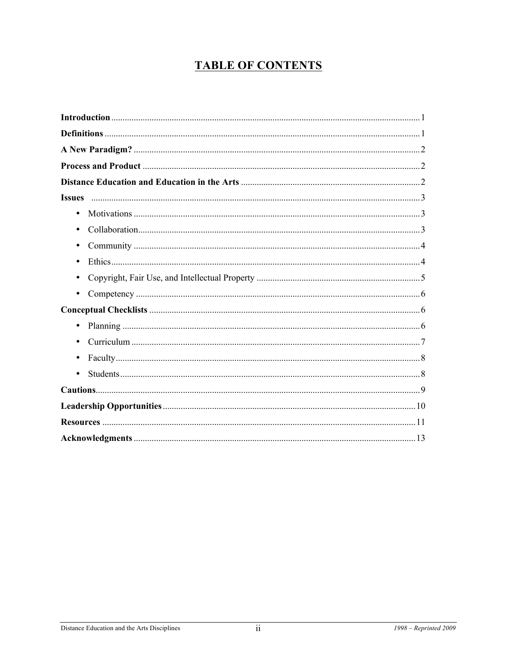# **TABLE OF CONTENTS**

| $\bullet$ |  |
|-----------|--|
| $\bullet$ |  |
|           |  |
| $\bullet$ |  |
|           |  |
| $\bullet$ |  |
|           |  |
|           |  |
|           |  |
|           |  |
|           |  |
|           |  |
|           |  |
|           |  |
|           |  |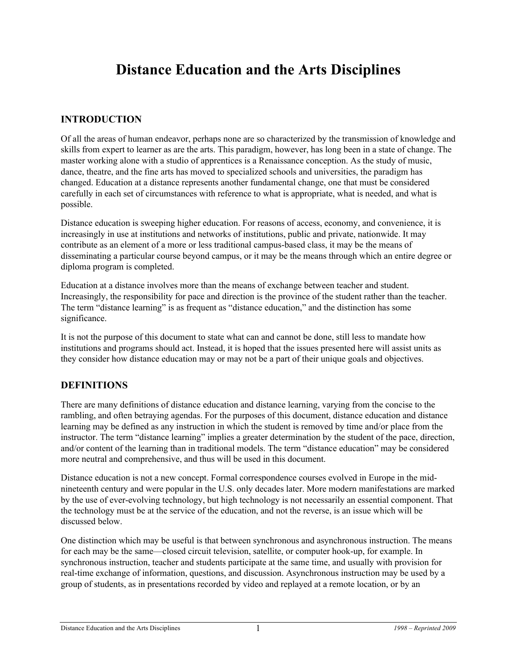# **Distance Education and the Arts Disciplines**

#### **INTRODUCTION**

Of all the areas of human endeavor, perhaps none are so characterized by the transmission of knowledge and skills from expert to learner as are the arts. This paradigm, however, has long been in a state of change. The master working alone with a studio of apprentices is a Renaissance conception. As the study of music, dance, theatre, and the fine arts has moved to specialized schools and universities, the paradigm has changed. Education at a distance represents another fundamental change, one that must be considered carefully in each set of circumstances with reference to what is appropriate, what is needed, and what is possible.

Distance education is sweeping higher education. For reasons of access, economy, and convenience, it is increasingly in use at institutions and networks of institutions, public and private, nationwide. It may contribute as an element of a more or less traditional campus-based class, it may be the means of disseminating a particular course beyond campus, or it may be the means through which an entire degree or diploma program is completed.

Education at a distance involves more than the means of exchange between teacher and student. Increasingly, the responsibility for pace and direction is the province of the student rather than the teacher. The term "distance learning" is as frequent as "distance education," and the distinction has some significance.

It is not the purpose of this document to state what can and cannot be done, still less to mandate how institutions and programs should act. Instead, it is hoped that the issues presented here will assist units as they consider how distance education may or may not be a part of their unique goals and objectives.

#### **DEFINITIONS**

There are many definitions of distance education and distance learning, varying from the concise to the rambling, and often betraying agendas. For the purposes of this document, distance education and distance learning may be defined as any instruction in which the student is removed by time and/or place from the instructor. The term "distance learning" implies a greater determination by the student of the pace, direction, and/or content of the learning than in traditional models. The term "distance education" may be considered more neutral and comprehensive, and thus will be used in this document.

Distance education is not a new concept. Formal correspondence courses evolved in Europe in the midnineteenth century and were popular in the U.S. only decades later. More modern manifestations are marked by the use of ever-evolving technology, but high technology is not necessarily an essential component. That the technology must be at the service of the education, and not the reverse, is an issue which will be discussed below.

One distinction which may be useful is that between synchronous and asynchronous instruction. The means for each may be the same—closed circuit television, satellite, or computer hook-up, for example. In synchronous instruction, teacher and students participate at the same time, and usually with provision for real-time exchange of information, questions, and discussion. Asynchronous instruction may be used by a group of students, as in presentations recorded by video and replayed at a remote location, or by an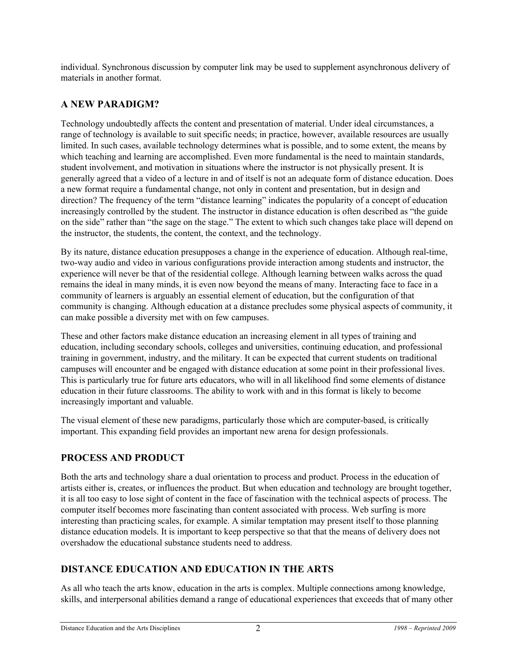individual. Synchronous discussion by computer link may be used to supplement asynchronous delivery of materials in another format.

#### **A NEW PARADIGM?**

Technology undoubtedly affects the content and presentation of material. Under ideal circumstances, a range of technology is available to suit specific needs; in practice, however, available resources are usually limited. In such cases, available technology determines what is possible, and to some extent, the means by which teaching and learning are accomplished. Even more fundamental is the need to maintain standards, student involvement, and motivation in situations where the instructor is not physically present. It is generally agreed that a video of a lecture in and of itself is not an adequate form of distance education. Does a new format require a fundamental change, not only in content and presentation, but in design and direction? The frequency of the term "distance learning" indicates the popularity of a concept of education increasingly controlled by the student. The instructor in distance education is often described as "the guide on the side" rather than "the sage on the stage." The extent to which such changes take place will depend on the instructor, the students, the content, the context, and the technology.

By its nature, distance education presupposes a change in the experience of education. Although real-time, two-way audio and video in various configurations provide interaction among students and instructor, the experience will never be that of the residential college. Although learning between walks across the quad remains the ideal in many minds, it is even now beyond the means of many. Interacting face to face in a community of learners is arguably an essential element of education, but the configuration of that community is changing. Although education at a distance precludes some physical aspects of community, it can make possible a diversity met with on few campuses.

These and other factors make distance education an increasing element in all types of training and education, including secondary schools, colleges and universities, continuing education, and professional training in government, industry, and the military. It can be expected that current students on traditional campuses will encounter and be engaged with distance education at some point in their professional lives. This is particularly true for future arts educators, who will in all likelihood find some elements of distance education in their future classrooms. The ability to work with and in this format is likely to become increasingly important and valuable.

The visual element of these new paradigms, particularly those which are computer-based, is critically important. This expanding field provides an important new arena for design professionals.

### **PROCESS AND PRODUCT**

Both the arts and technology share a dual orientation to process and product. Process in the education of artists either is, creates, or influences the product. But when education and technology are brought together, it is all too easy to lose sight of content in the face of fascination with the technical aspects of process. The computer itself becomes more fascinating than content associated with process. Web surfing is more interesting than practicing scales, for example. A similar temptation may present itself to those planning distance education models. It is important to keep perspective so that that the means of delivery does not overshadow the educational substance students need to address.

### **DISTANCE EDUCATION AND EDUCATION IN THE ARTS**

As all who teach the arts know, education in the arts is complex. Multiple connections among knowledge, skills, and interpersonal abilities demand a range of educational experiences that exceeds that of many other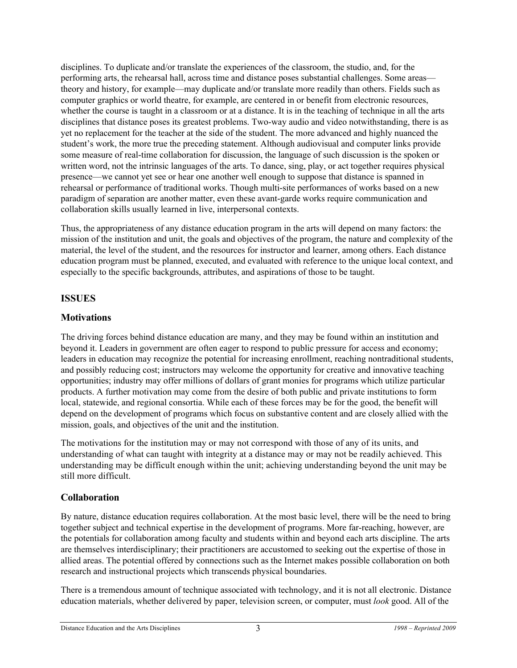disciplines. To duplicate and/or translate the experiences of the classroom, the studio, and, for the performing arts, the rehearsal hall, across time and distance poses substantial challenges. Some areas theory and history, for example—may duplicate and/or translate more readily than others. Fields such as computer graphics or world theatre, for example, are centered in or benefit from electronic resources, whether the course is taught in a classroom or at a distance. It is in the teaching of technique in all the arts disciplines that distance poses its greatest problems. Two-way audio and video notwithstanding, there is as yet no replacement for the teacher at the side of the student. The more advanced and highly nuanced the student's work, the more true the preceding statement. Although audiovisual and computer links provide some measure of real-time collaboration for discussion, the language of such discussion is the spoken or written word, not the intrinsic languages of the arts. To dance, sing, play, or act together requires physical presence—we cannot yet see or hear one another well enough to suppose that distance is spanned in rehearsal or performance of traditional works. Though multi-site performances of works based on a new paradigm of separation are another matter, even these avant-garde works require communication and collaboration skills usually learned in live, interpersonal contexts.

Thus, the appropriateness of any distance education program in the arts will depend on many factors: the mission of the institution and unit, the goals and objectives of the program, the nature and complexity of the material, the level of the student, and the resources for instructor and learner, among others. Each distance education program must be planned, executed, and evaluated with reference to the unique local context, and especially to the specific backgrounds, attributes, and aspirations of those to be taught.

#### **ISSUES**

#### **Motivations**

The driving forces behind distance education are many, and they may be found within an institution and beyond it. Leaders in government are often eager to respond to public pressure for access and economy; leaders in education may recognize the potential for increasing enrollment, reaching nontraditional students, and possibly reducing cost; instructors may welcome the opportunity for creative and innovative teaching opportunities; industry may offer millions of dollars of grant monies for programs which utilize particular products. A further motivation may come from the desire of both public and private institutions to form local, statewide, and regional consortia. While each of these forces may be for the good, the benefit will depend on the development of programs which focus on substantive content and are closely allied with the mission, goals, and objectives of the unit and the institution.

The motivations for the institution may or may not correspond with those of any of its units, and understanding of what can taught with integrity at a distance may or may not be readily achieved. This understanding may be difficult enough within the unit; achieving understanding beyond the unit may be still more difficult.

#### **Collaboration**

By nature, distance education requires collaboration. At the most basic level, there will be the need to bring together subject and technical expertise in the development of programs. More far-reaching, however, are the potentials for collaboration among faculty and students within and beyond each arts discipline. The arts are themselves interdisciplinary; their practitioners are accustomed to seeking out the expertise of those in allied areas. The potential offered by connections such as the Internet makes possible collaboration on both research and instructional projects which transcends physical boundaries.

There is a tremendous amount of technique associated with technology, and it is not all electronic. Distance education materials, whether delivered by paper, television screen, or computer, must *look* good. All of the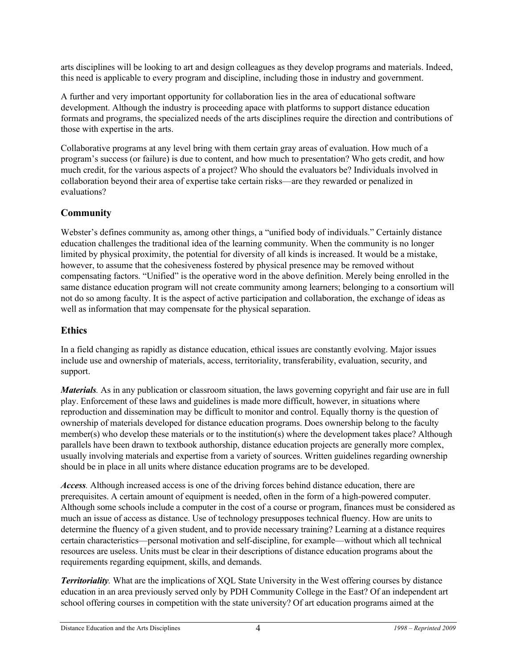arts disciplines will be looking to art and design colleagues as they develop programs and materials. Indeed, this need is applicable to every program and discipline, including those in industry and government.

A further and very important opportunity for collaboration lies in the area of educational software development. Although the industry is proceeding apace with platforms to support distance education formats and programs, the specialized needs of the arts disciplines require the direction and contributions of those with expertise in the arts.

Collaborative programs at any level bring with them certain gray areas of evaluation. How much of a program's success (or failure) is due to content, and how much to presentation? Who gets credit, and how much credit, for the various aspects of a project? Who should the evaluators be? Individuals involved in collaboration beyond their area of expertise take certain risks—are they rewarded or penalized in evaluations?

#### **Community**

Webster's defines community as, among other things, a "unified body of individuals." Certainly distance education challenges the traditional idea of the learning community. When the community is no longer limited by physical proximity, the potential for diversity of all kinds is increased. It would be a mistake, however, to assume that the cohesiveness fostered by physical presence may be removed without compensating factors. "Unified" is the operative word in the above definition. Merely being enrolled in the same distance education program will not create community among learners; belonging to a consortium will not do so among faculty. It is the aspect of active participation and collaboration, the exchange of ideas as well as information that may compensate for the physical separation.

#### **Ethics**

In a field changing as rapidly as distance education, ethical issues are constantly evolving. Major issues include use and ownership of materials, access, territoriality, transferability, evaluation, security, and support.

*Materials.* As in any publication or classroom situation, the laws governing copyright and fair use are in full play. Enforcement of these laws and guidelines is made more difficult, however, in situations where reproduction and dissemination may be difficult to monitor and control. Equally thorny is the question of ownership of materials developed for distance education programs. Does ownership belong to the faculty member(s) who develop these materials or to the institution(s) where the development takes place? Although parallels have been drawn to textbook authorship, distance education projects are generally more complex, usually involving materials and expertise from a variety of sources. Written guidelines regarding ownership should be in place in all units where distance education programs are to be developed.

*Access.* Although increased access is one of the driving forces behind distance education, there are prerequisites. A certain amount of equipment is needed, often in the form of a high-powered computer. Although some schools include a computer in the cost of a course or program, finances must be considered as much an issue of access as distance. Use of technology presupposes technical fluency. How are units to determine the fluency of a given student, and to provide necessary training? Learning at a distance requires certain characteristics—personal motivation and self-discipline, for example—without which all technical resources are useless. Units must be clear in their descriptions of distance education programs about the requirements regarding equipment, skills, and demands.

*Territoriality.* What are the implications of XQL State University in the West offering courses by distance education in an area previously served only by PDH Community College in the East? Of an independent art school offering courses in competition with the state university? Of art education programs aimed at the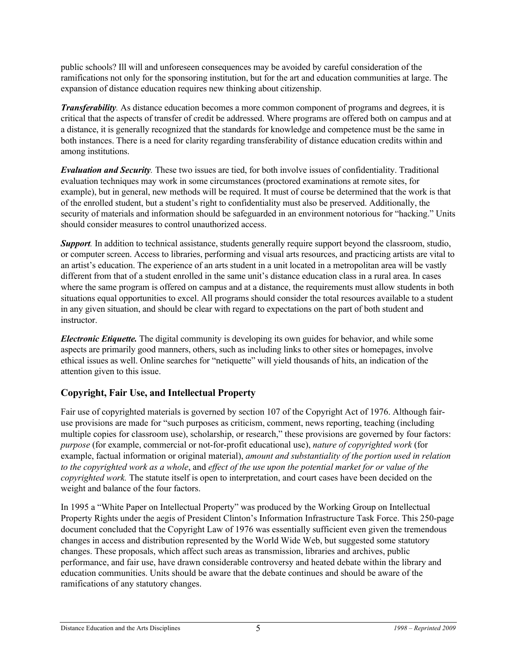public schools? Ill will and unforeseen consequences may be avoided by careful consideration of the ramifications not only for the sponsoring institution, but for the art and education communities at large. The expansion of distance education requires new thinking about citizenship.

*Transferability.* As distance education becomes a more common component of programs and degrees, it is critical that the aspects of transfer of credit be addressed. Where programs are offered both on campus and at a distance, it is generally recognized that the standards for knowledge and competence must be the same in both instances. There is a need for clarity regarding transferability of distance education credits within and among institutions.

*Evaluation and Security.* These two issues are tied, for both involve issues of confidentiality. Traditional evaluation techniques may work in some circumstances (proctored examinations at remote sites, for example), but in general, new methods will be required. It must of course be determined that the work is that of the enrolled student, but a student's right to confidentiality must also be preserved. Additionally, the security of materials and information should be safeguarded in an environment notorious for "hacking." Units should consider measures to control unauthorized access.

*Support*. In addition to technical assistance, students generally require support beyond the classroom, studio, or computer screen. Access to libraries, performing and visual arts resources, and practicing artists are vital to an artist's education. The experience of an arts student in a unit located in a metropolitan area will be vastly different from that of a student enrolled in the same unit's distance education class in a rural area. In cases where the same program is offered on campus and at a distance, the requirements must allow students in both situations equal opportunities to excel. All programs should consider the total resources available to a student in any given situation, and should be clear with regard to expectations on the part of both student and instructor.

*Electronic Etiquette.* The digital community is developing its own guides for behavior, and while some aspects are primarily good manners, others, such as including links to other sites or homepages, involve ethical issues as well. Online searches for "netiquette" will yield thousands of hits, an indication of the attention given to this issue.

### **Copyright, Fair Use, and Intellectual Property**

Fair use of copyrighted materials is governed by section 107 of the Copyright Act of 1976. Although fairuse provisions are made for "such purposes as criticism, comment, news reporting, teaching (including multiple copies for classroom use), scholarship, or research," these provisions are governed by four factors: *purpose* (for example, commercial or not-for-profit educational use), *nature of copyrighted work* (for example, factual information or original material), *amount and substantiality of the portion used in relation to the copyrighted work as a whole*, and *effect of the use upon the potential market for or value of the copyrighted work.* The statute itself is open to interpretation, and court cases have been decided on the weight and balance of the four factors.

In 1995 a "White Paper on Intellectual Property" was produced by the Working Group on Intellectual Property Rights under the aegis of President Clinton's Information Infrastructure Task Force. This 250-page document concluded that the Copyright Law of 1976 was essentially sufficient even given the tremendous changes in access and distribution represented by the World Wide Web, but suggested some statutory changes. These proposals, which affect such areas as transmission, libraries and archives, public performance, and fair use, have drawn considerable controversy and heated debate within the library and education communities. Units should be aware that the debate continues and should be aware of the ramifications of any statutory changes.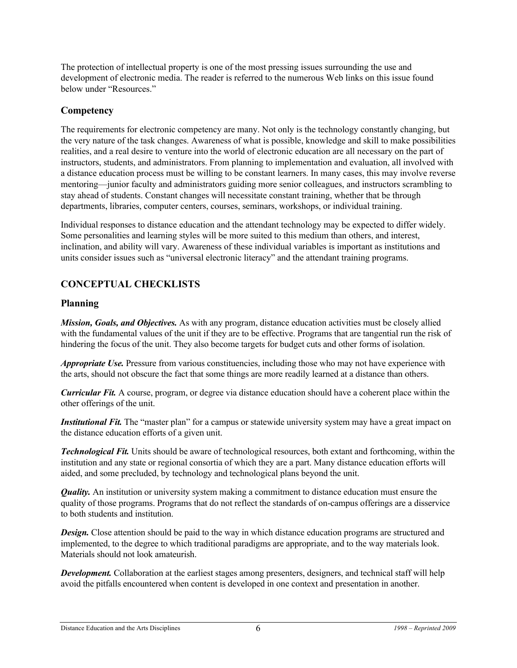The protection of intellectual property is one of the most pressing issues surrounding the use and development of electronic media. The reader is referred to the numerous Web links on this issue found below under "Resources."

#### **Competency**

The requirements for electronic competency are many. Not only is the technology constantly changing, but the very nature of the task changes. Awareness of what is possible, knowledge and skill to make possibilities realities, and a real desire to venture into the world of electronic education are all necessary on the part of instructors, students, and administrators. From planning to implementation and evaluation, all involved with a distance education process must be willing to be constant learners. In many cases, this may involve reverse mentoring—junior faculty and administrators guiding more senior colleagues, and instructors scrambling to stay ahead of students. Constant changes will necessitate constant training, whether that be through departments, libraries, computer centers, courses, seminars, workshops, or individual training.

Individual responses to distance education and the attendant technology may be expected to differ widely. Some personalities and learning styles will be more suited to this medium than others, and interest, inclination, and ability will vary. Awareness of these individual variables is important as institutions and units consider issues such as "universal electronic literacy" and the attendant training programs.

### **CONCEPTUAL CHECKLISTS**

#### **Planning**

*Mission, Goals, and Objectives.* As with any program, distance education activities must be closely allied with the fundamental values of the unit if they are to be effective. Programs that are tangential run the risk of hindering the focus of the unit. They also become targets for budget cuts and other forms of isolation.

*Appropriate Use.* Pressure from various constituencies, including those who may not have experience with the arts, should not obscure the fact that some things are more readily learned at a distance than others.

*Curricular Fit.* A course, program, or degree via distance education should have a coherent place within the other offerings of the unit.

*Institutional Fit.* The "master plan" for a campus or statewide university system may have a great impact on the distance education efforts of a given unit.

*Technological Fit.* Units should be aware of technological resources, both extant and forthcoming, within the institution and any state or regional consortia of which they are a part. Many distance education efforts will aided, and some precluded, by technology and technological plans beyond the unit.

*Quality*. An institution or university system making a commitment to distance education must ensure the quality of those programs. Programs that do not reflect the standards of on-campus offerings are a disservice to both students and institution.

*Design.* Close attention should be paid to the way in which distance education programs are structured and implemented, to the degree to which traditional paradigms are appropriate, and to the way materials look. Materials should not look amateurish.

*Development.* Collaboration at the earliest stages among presenters, designers, and technical staff will help avoid the pitfalls encountered when content is developed in one context and presentation in another.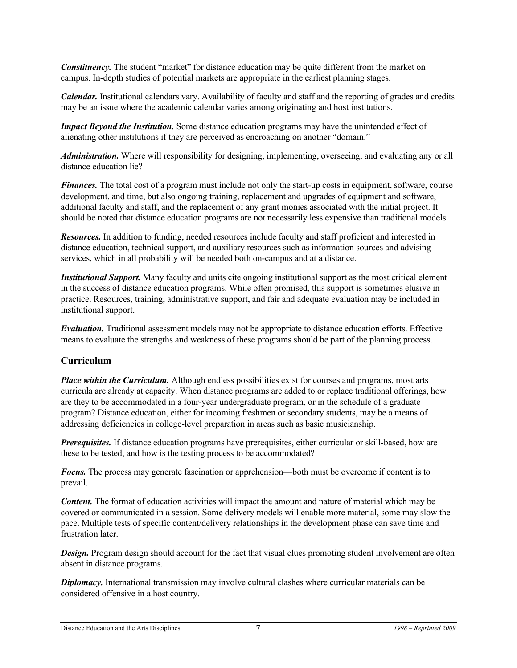*Constituency.* The student "market" for distance education may be quite different from the market on campus. In-depth studies of potential markets are appropriate in the earliest planning stages.

*Calendar.* Institutional calendars vary. Availability of faculty and staff and the reporting of grades and credits may be an issue where the academic calendar varies among originating and host institutions.

*Impact Beyond the Institution.* Some distance education programs may have the unintended effect of alienating other institutions if they are perceived as encroaching on another "domain."

*Administration.* Where will responsibility for designing, implementing, overseeing, and evaluating any or all distance education lie?

*Finances.* The total cost of a program must include not only the start-up costs in equipment, software, course development, and time, but also ongoing training, replacement and upgrades of equipment and software, additional faculty and staff, and the replacement of any grant monies associated with the initial project. It should be noted that distance education programs are not necessarily less expensive than traditional models.

*Resources.* In addition to funding, needed resources include faculty and staff proficient and interested in distance education, technical support, and auxiliary resources such as information sources and advising services, which in all probability will be needed both on-campus and at a distance.

*Institutional Support.* Many faculty and units cite ongoing institutional support as the most critical element in the success of distance education programs. While often promised, this support is sometimes elusive in practice. Resources, training, administrative support, and fair and adequate evaluation may be included in institutional support.

*Evaluation.* Traditional assessment models may not be appropriate to distance education efforts. Effective means to evaluate the strengths and weakness of these programs should be part of the planning process.

#### **Curriculum**

*Place within the Curriculum.* Although endless possibilities exist for courses and programs, most arts curricula are already at capacity. When distance programs are added to or replace traditional offerings, how are they to be accommodated in a four-year undergraduate program, or in the schedule of a graduate program? Distance education, either for incoming freshmen or secondary students, may be a means of addressing deficiencies in college-level preparation in areas such as basic musicianship.

*Prerequisites.* If distance education programs have prerequisites, either curricular or skill-based, how are these to be tested, and how is the testing process to be accommodated?

*Focus.* The process may generate fascination or apprehension—both must be overcome if content is to prevail.

*Content.* The format of education activities will impact the amount and nature of material which may be covered or communicated in a session. Some delivery models will enable more material, some may slow the pace. Multiple tests of specific content/delivery relationships in the development phase can save time and frustration later.

*Design.* Program design should account for the fact that visual clues promoting student involvement are often absent in distance programs.

*Diplomacy.* International transmission may involve cultural clashes where curricular materials can be considered offensive in a host country.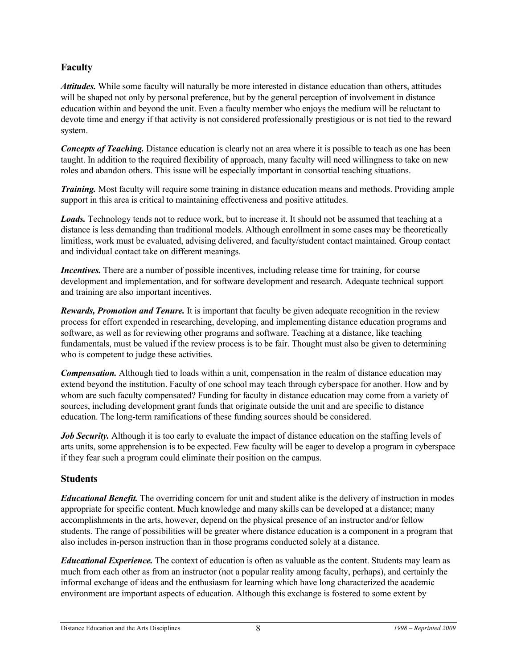#### **Faculty**

*Attitudes.* While some faculty will naturally be more interested in distance education than others, attitudes will be shaped not only by personal preference, but by the general perception of involvement in distance education within and beyond the unit. Even a faculty member who enjoys the medium will be reluctant to devote time and energy if that activity is not considered professionally prestigious or is not tied to the reward system.

*Concepts of Teaching.* Distance education is clearly not an area where it is possible to teach as one has been taught. In addition to the required flexibility of approach, many faculty will need willingness to take on new roles and abandon others. This issue will be especially important in consortial teaching situations.

*Training.* Most faculty will require some training in distance education means and methods. Providing ample support in this area is critical to maintaining effectiveness and positive attitudes.

*Loads.* Technology tends not to reduce work, but to increase it. It should not be assumed that teaching at a distance is less demanding than traditional models. Although enrollment in some cases may be theoretically limitless, work must be evaluated, advising delivered, and faculty/student contact maintained. Group contact and individual contact take on different meanings.

*Incentives.* There are a number of possible incentives, including release time for training, for course development and implementation, and for software development and research. Adequate technical support and training are also important incentives.

*Rewards, Promotion and Tenure.* It is important that faculty be given adequate recognition in the review process for effort expended in researching, developing, and implementing distance education programs and software, as well as for reviewing other programs and software. Teaching at a distance, like teaching fundamentals, must be valued if the review process is to be fair. Thought must also be given to determining who is competent to judge these activities.

*Compensation.* Although tied to loads within a unit, compensation in the realm of distance education may extend beyond the institution. Faculty of one school may teach through cyberspace for another. How and by whom are such faculty compensated? Funding for faculty in distance education may come from a variety of sources, including development grant funds that originate outside the unit and are specific to distance education. The long-term ramifications of these funding sources should be considered.

*Job Security.* Although it is too early to evaluate the impact of distance education on the staffing levels of arts units, some apprehension is to be expected. Few faculty will be eager to develop a program in cyberspace if they fear such a program could eliminate their position on the campus.

#### **Students**

*Educational Benefit.* The overriding concern for unit and student alike is the delivery of instruction in modes appropriate for specific content. Much knowledge and many skills can be developed at a distance; many accomplishments in the arts, however, depend on the physical presence of an instructor and/or fellow students. The range of possibilities will be greater where distance education is a component in a program that also includes in-person instruction than in those programs conducted solely at a distance.

*Educational Experience.* The context of education is often as valuable as the content. Students may learn as much from each other as from an instructor (not a popular reality among faculty, perhaps), and certainly the informal exchange of ideas and the enthusiasm for learning which have long characterized the academic environment are important aspects of education. Although this exchange is fostered to some extent by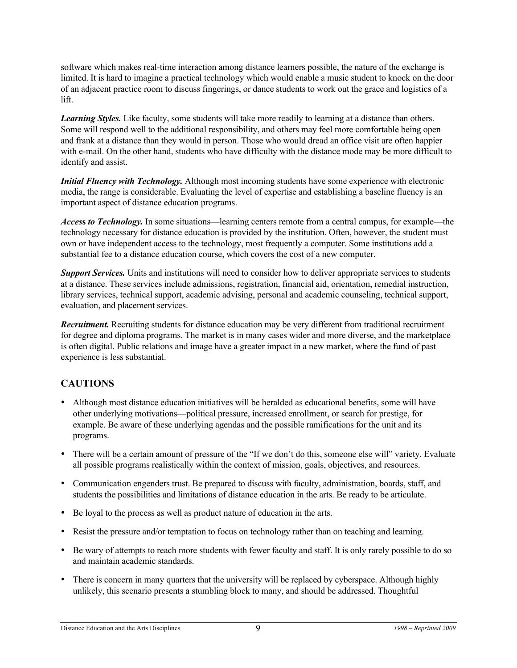software which makes real-time interaction among distance learners possible, the nature of the exchange is limited. It is hard to imagine a practical technology which would enable a music student to knock on the door of an adjacent practice room to discuss fingerings, or dance students to work out the grace and logistics of a lift.

*Learning Styles.* Like faculty, some students will take more readily to learning at a distance than others. Some will respond well to the additional responsibility, and others may feel more comfortable being open and frank at a distance than they would in person. Those who would dread an office visit are often happier with e-mail. On the other hand, students who have difficulty with the distance mode may be more difficult to identify and assist.

*Initial Fluency with Technology.* Although most incoming students have some experience with electronic media, the range is considerable. Evaluating the level of expertise and establishing a baseline fluency is an important aspect of distance education programs.

*Acces***s** *to Technology.* In some situations—learning centers remote from a central campus, for example—the technology necessary for distance education is provided by the institution. Often, however, the student must own or have independent access to the technology, most frequently a computer. Some institutions add a substantial fee to a distance education course, which covers the cost of a new computer.

*Support Services.* Units and institutions will need to consider how to deliver appropriate services to students at a distance. These services include admissions, registration, financial aid, orientation, remedial instruction, library services, technical support, academic advising, personal and academic counseling, technical support, evaluation, and placement services.

*Recruitment.* Recruiting students for distance education may be very different from traditional recruitment for degree and diploma programs. The market is in many cases wider and more diverse, and the marketplace is often digital. Public relations and image have a greater impact in a new market, where the fund of past experience is less substantial.

#### **CAUTIONS**

- Although most distance education initiatives will be heralded as educational benefits, some will have other underlying motivations—political pressure, increased enrollment, or search for prestige, for example. Be aware of these underlying agendas and the possible ramifications for the unit and its programs.
- There will be a certain amount of pressure of the "If we don't do this, someone else will" variety. Evaluate all possible programs realistically within the context of mission, goals, objectives, and resources.
- Communication engenders trust. Be prepared to discuss with faculty, administration, boards, staff, and students the possibilities and limitations of distance education in the arts. Be ready to be articulate.
- Be loyal to the process as well as product nature of education in the arts.
- Resist the pressure and/or temptation to focus on technology rather than on teaching and learning.
- Be wary of attempts to reach more students with fewer faculty and staff. It is only rarely possible to do so and maintain academic standards.
- There is concern in many quarters that the university will be replaced by cyberspace. Although highly unlikely, this scenario presents a stumbling block to many, and should be addressed. Thoughtful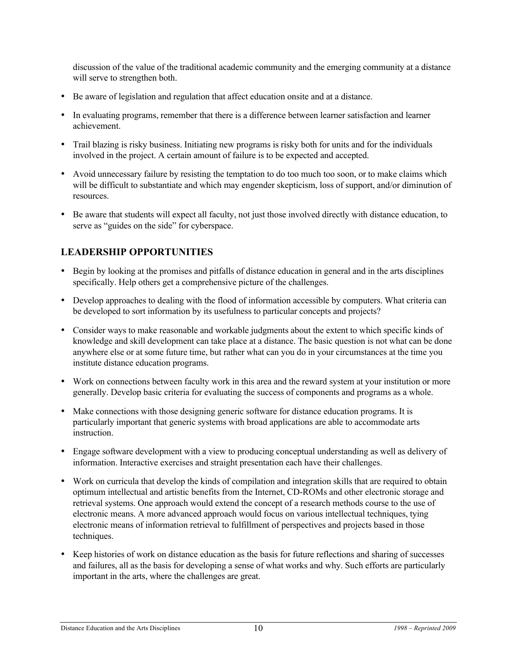discussion of the value of the traditional academic community and the emerging community at a distance will serve to strengthen both.

- Be aware of legislation and regulation that affect education onsite and at a distance.
- In evaluating programs, remember that there is a difference between learner satisfaction and learner achievement.
- Trail blazing is risky business. Initiating new programs is risky both for units and for the individuals involved in the project. A certain amount of failure is to be expected and accepted.
- Avoid unnecessary failure by resisting the temptation to do too much too soon, or to make claims which will be difficult to substantiate and which may engender skepticism, loss of support, and/or diminution of resources.
- Be aware that students will expect all faculty, not just those involved directly with distance education, to serve as "guides on the side" for cyberspace.

#### **LEADERSHIP OPPORTUNITIES**

- Begin by looking at the promises and pitfalls of distance education in general and in the arts disciplines specifically. Help others get a comprehensive picture of the challenges.
- Develop approaches to dealing with the flood of information accessible by computers. What criteria can be developed to sort information by its usefulness to particular concepts and projects?
- Consider ways to make reasonable and workable judgments about the extent to which specific kinds of knowledge and skill development can take place at a distance. The basic question is not what can be done anywhere else or at some future time, but rather what can you do in your circumstances at the time you institute distance education programs.
- Work on connections between faculty work in this area and the reward system at your institution or more generally. Develop basic criteria for evaluating the success of components and programs as a whole.
- Make connections with those designing generic software for distance education programs. It is particularly important that generic systems with broad applications are able to accommodate arts instruction.
- Engage software development with a view to producing conceptual understanding as well as delivery of information. Interactive exercises and straight presentation each have their challenges.
- Work on curricula that develop the kinds of compilation and integration skills that are required to obtain optimum intellectual and artistic benefits from the Internet, CD-ROMs and other electronic storage and retrieval systems. One approach would extend the concept of a research methods course to the use of electronic means. A more advanced approach would focus on various intellectual techniques, tying electronic means of information retrieval to fulfillment of perspectives and projects based in those techniques.
- Keep histories of work on distance education as the basis for future reflections and sharing of successes and failures, all as the basis for developing a sense of what works and why. Such efforts are particularly important in the arts, where the challenges are great.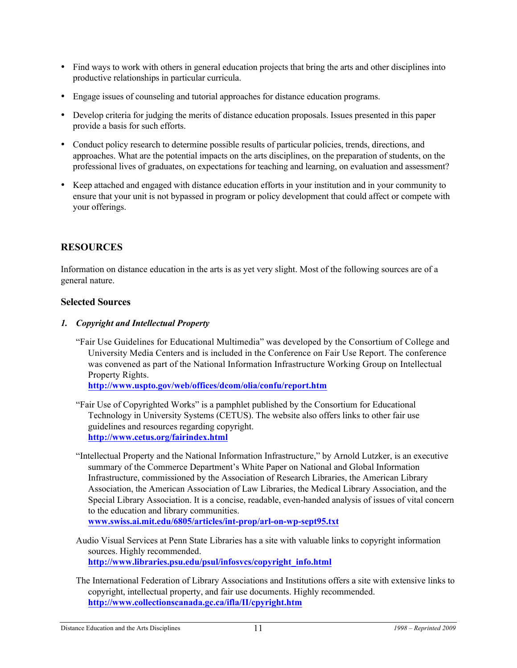- Find ways to work with others in general education projects that bring the arts and other disciplines into productive relationships in particular curricula.
- Engage issues of counseling and tutorial approaches for distance education programs.
- Develop criteria for judging the merits of distance education proposals. Issues presented in this paper provide a basis for such efforts.
- Conduct policy research to determine possible results of particular policies, trends, directions, and approaches. What are the potential impacts on the arts disciplines, on the preparation of students, on the professional lives of graduates, on expectations for teaching and learning, on evaluation and assessment?
- Keep attached and engaged with distance education efforts in your institution and in your community to ensure that your unit is not bypassed in program or policy development that could affect or compete with your offerings.

#### **RESOURCES**

Information on distance education in the arts is as yet very slight. Most of the following sources are of a general nature.

#### **Selected Sources**

#### *1. Copyright and Intellectual Property*

"Fair Use Guidelines for Educational Multimedia" was developed by the Consortium of College and University Media Centers and is included in the Conference on Fair Use Report. The conference was convened as part of the National Information Infrastructure Working Group on Intellectual Property Rights.

**http://www.uspto.gov/web/offices/dcom/olia/confu/report.htm**

- "Fair Use of Copyrighted Works" is a pamphlet published by the Consortium for Educational Technology in University Systems (CETUS). The website also offers links to other fair use guidelines and resources regarding copyright. **http://www.cetus.org/fairindex.html**
- "Intellectual Property and the National Information Infrastructure," by Arnold Lutzker, is an executive summary of the Commerce Department's White Paper on National and Global Information Infrastructure, commissioned by the Association of Research Libraries, the American Library Association, the American Association of Law Libraries, the Medical Library Association, and the Special Library Association. It is a concise, readable, even-handed analysis of issues of vital concern to the education and library communities.

**www.swiss.ai.mit.edu/6805/articles/int-prop/arl-on-wp-sept95.txt**

- Audio Visual Services at Penn State Libraries has a site with valuable links to copyright information sources. Highly recommended. **http://www.libraries.psu.edu/psul/infosvcs/copyright\_info.html**
- The International Federation of Library Associations and Institutions offers a site with extensive links to copyright, intellectual property, and fair use documents. Highly recommended. **http://www.collectionscanada.gc.ca/ifla/II/cpyright.htm**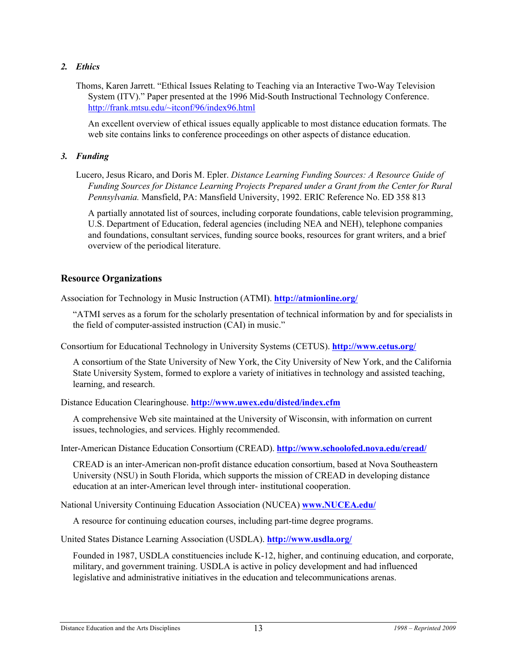#### *2. Ethics*

Thoms, Karen Jarrett. "Ethical Issues Relating to Teaching via an Interactive Two-Way Television System (ITV)." Paper presented at the 1996 Mid-South Instructional Technology Conference. http://frank.mtsu.edu/~itconf/96/index96.html

An excellent overview of ethical issues equally applicable to most distance education formats. The web site contains links to conference proceedings on other aspects of distance education.

#### *3. Funding*

Lucero, Jesus Ricaro, and Doris M. Epler. *Distance Learning Funding Sources: A Resource Guide of Funding Sources for Distance Learning Projects Prepared under a Grant from the Center for Rural Pennsylvania.* Mansfield, PA: Mansfield University, 1992. ERIC Reference No. ED 358 813

A partially annotated list of sources, including corporate foundations, cable television programming, U.S. Department of Education, federal agencies (including NEA and NEH), telephone companies and foundations, consultant services, funding source books, resources for grant writers, and a brief overview of the periodical literature.

#### **Resource Organizations**

Association for Technology in Music Instruction (ATMI). **http://atmionline.org/**

"ATMI serves as a forum for the scholarly presentation of technical information by and for specialists in the field of computer-assisted instruction (CAI) in music."

Consortium for Educational Technology in University Systems (CETUS). **http://www.cetus.org/**

A consortium of the State University of New York, the City University of New York, and the California State University System, formed to explore a variety of initiatives in technology and assisted teaching, learning, and research.

Distance Education Clearinghouse. **http://www.uwex.edu/disted/index.cfm**

A comprehensive Web site maintained at the University of Wisconsin, with information on current issues, technologies, and services. Highly recommended.

Inter-American Distance Education Consortium (CREAD). **http://www.schoolofed.nova.edu/cread/**

CREAD is an inter-American non-profit distance education consortium, based at Nova Southeastern University (NSU) in South Florida, which supports the mission of CREAD in developing distance education at an inter-American level through inter- institutional cooperation.

National University Continuing Education Association (NUCEA) **www.NUCEA.edu/**

A resource for continuing education courses, including part-time degree programs.

United States Distance Learning Association (USDLA). **http://www.usdla.org/**

Founded in 1987, USDLA constituencies include K-12, higher, and continuing education, and corporate, military, and government training. USDLA is active in policy development and had influenced legislative and administrative initiatives in the education and telecommunications arenas.